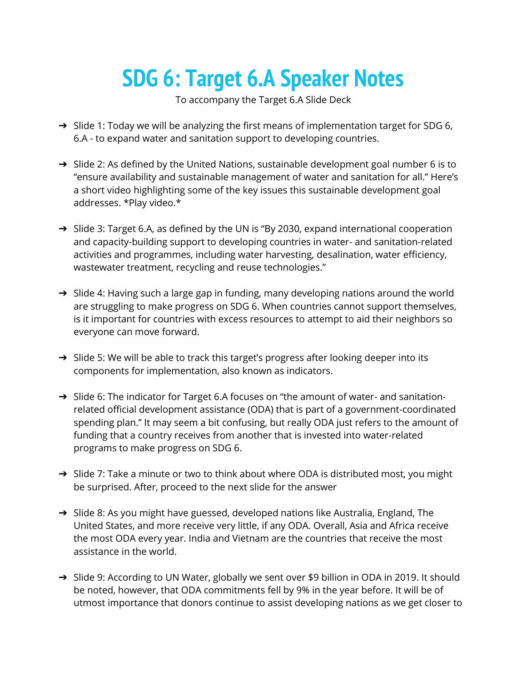## **SDG 6: Target 6.A Speaker Notes**

To accompany the Target 6.A Slide Deck

- ➔ Slide 1: Today we will be analyzing the first means of implementation target for SDG 6, 6.A - to expand water and sanitation support to developing countries.
- → Slide 2: As defined by the United Nations, sustainable development goal number 6 is to "ensure availability and sustainable management of water and sanitation for all." Here's a short video highlighting some of the key issues this sustainable development goal addresses. \*Play video.\*
- ➔ Slide 3: Target 6.A, as defined by the UN is "By 2030, expand international cooperation and capacity-building support to developing countries in water- and sanitation-related activities and programmes, including water harvesting, desalination, water efficiency, wastewater treatment, recycling and reuse technologies."
- ➔ Slide 4: Having such a large gap in funding, many developing nations around the world are struggling to make progress on SDG 6. When countries cannot support themselves, is it important for countries with excess resources to attempt to aid their neighbors so everyone can move forward.
- → Slide 5: We will be able to track this target's progress after looking deeper into its components for implementation, also known as indicators.
- → Slide 6: The indicator for Target 6.A focuses on "the amount of water- and sanitationrelated official development assistance (ODA) that is part of a government-coordinated spending plan." It may seem a bit confusing, but really ODA just refers to the amount of funding that a country receives from another that is invested into water-related programs to make progress on SDG 6.
- $\rightarrow$  Slide 7: Take a minute or two to think about where ODA is distributed most, you might be surprised. After, proceed to the next slide for the answer
- $\rightarrow$  Slide 8: As you might have guessed, developed nations like Australia, England, The United States, and more receive very little, if any ODA. Overall, Asia and Africa receive the most ODA every year. India and Vietnam are the countries that receive the most assistance in the world.
- → Slide 9: According to UN Water, globally we sent over \$9 billion in ODA in 2019. It should be noted, however, that ODA commitments fell by 9% in the year before. It will be of utmost importance that donors continue to assist developing nations as we get closer to